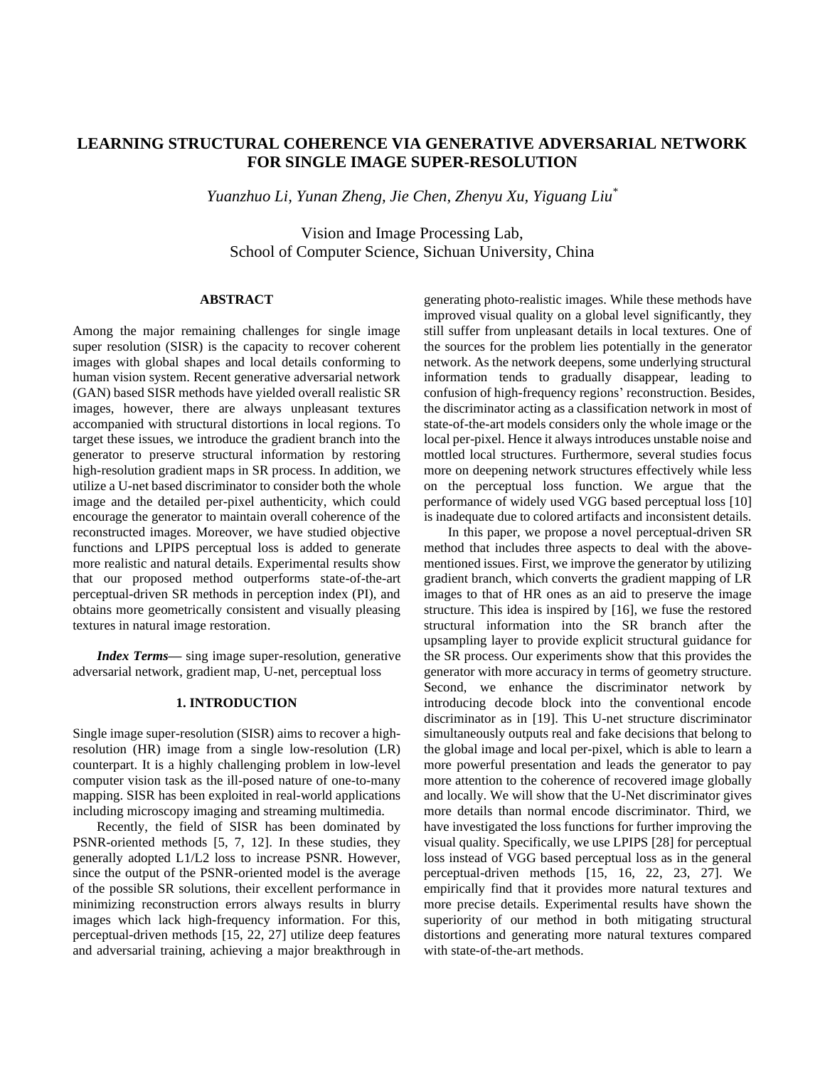# **LEARNING STRUCTURAL COHERENCE VIA GENERATIVE ADVERSARIAL NETWORK FOR SINGLE IMAGE SUPER-RESOLUTION**

*Yuanzhuo Li, Yunan Zheng, Jie Chen, Zhenyu Xu, Yiguang Liu\**

Vision and Image Processing Lab, School of Computer Science, Sichuan University, China

### **ABSTRACT**

Among the major remaining challenges for single image super resolution (SISR) is the capacity to recover coherent images with global shapes and local details conforming to human vision system. Recent generative adversarial network (GAN) based SISR methods have yielded overall realistic SR images, however, there are always unpleasant textures accompanied with structural distortions in local regions. To target these issues, we introduce the gradient branch into the generator to preserve structural information by restoring high-resolution gradient maps in SR process. In addition, we utilize a U-net based discriminator to consider both the whole image and the detailed per-pixel authenticity, which could encourage the generator to maintain overall coherence of the reconstructed images. Moreover, we have studied objective functions and LPIPS perceptual loss is added to generate more realistic and natural details. Experimental results show that our proposed method outperforms state-of-the-art perceptual-driven SR methods in perception index (PI), and obtains more geometrically consistent and visually pleasing textures in natural image restoration.

*Index Terms—* sing image super-resolution, generative adversarial network, gradient map, U-net, perceptual loss

#### **1. INTRODUCTION**

Single image super-resolution (SISR) aims to recover a highresolution (HR) image from a single low-resolution (LR) counterpart. It is a highly challenging problem in low-level computer vision task as the ill-posed nature of one-to-many mapping. SISR has been exploited in real-world applications including microscopy imaging and streaming multimedia.

Recently, the field of SISR has been dominated by PSNR-oriented methods [\[5,](#page-4-0) [7,](#page-4-1) [12\].](#page-4-2) In these studies, they generally adopted L1/L2 loss to increase PSNR. However, since the output of the PSNR-oriented model is the average of the possible SR solutions, their excellent performance in minimizing reconstruction errors always results in blurry images which lack high-frequency information. For this, perceptual-driven methods [\[15,](#page-4-3) [22,](#page-4-4) [27\]](#page-4-5) utilize deep features and adversarial training, achieving a major breakthrough in

generating photo-realistic images. While these methods have improved visual quality on a global level significantly, they still suffer from unpleasant details in local textures. One of the sources for the problem lies potentially in the generator network. As the network deepens, some underlying structural information tends to gradually disappear, leading to confusion of high-frequency regions' reconstruction. Besides, the discriminator acting as a classification network in most of state-of-the-art models considers only the whole image or the local per-pixel. Hence it always introduces unstable noise and mottled local structures. Furthermore, several studies focus more on deepening network structures effectively while less on the perceptual loss function. We argue that the performance of widely used VGG based perceptual loss [\[10\]](#page-4-6) is inadequate due to colored artifacts and inconsistent details.

In this paper, we propose a novel perceptual-driven SR method that includes three aspects to deal with the abovementioned issues. First, we improve the generator by utilizing gradient branch, which converts the gradient mapping of LR images to that of HR ones as an aid to preserve the image structure. This idea is inspired by [\[16\],](#page-4-7) we fuse the restored structural information into the SR branch after the upsampling layer to provide explicit structural guidance for the SR process. Our experiments show that this provides the generator with more accuracy in terms of geometry structure. Second, we enhance the discriminator network by introducing decode block into the conventional encode discriminator as in [\[19\].](#page-4-8) This U-net structure discriminator simultaneously outputs real and fake decisions that belong to the global image and local per-pixel, which is able to learn a more powerful presentation and leads the generator to pay more attention to the coherence of recovered image globally and locally. We will show that the U-Net discriminator gives more details than normal encode discriminator. Third, we have investigated the loss functions for further improving the visual quality. Specifically, we use LPIPS [\[28\]](#page-4-9) for perceptual loss instead of VGG based perceptual loss as in the general perceptual-driven methods [\[15,](#page-4-3) [16,](#page-4-7) [22,](#page-4-4) [23,](#page-4-10) [27\].](#page-4-5) We empirically find that it provides more natural textures and more precise details. Experimental results have shown the superiority of our method in both mitigating structural distortions and generating more natural textures compared with state-of-the-art methods.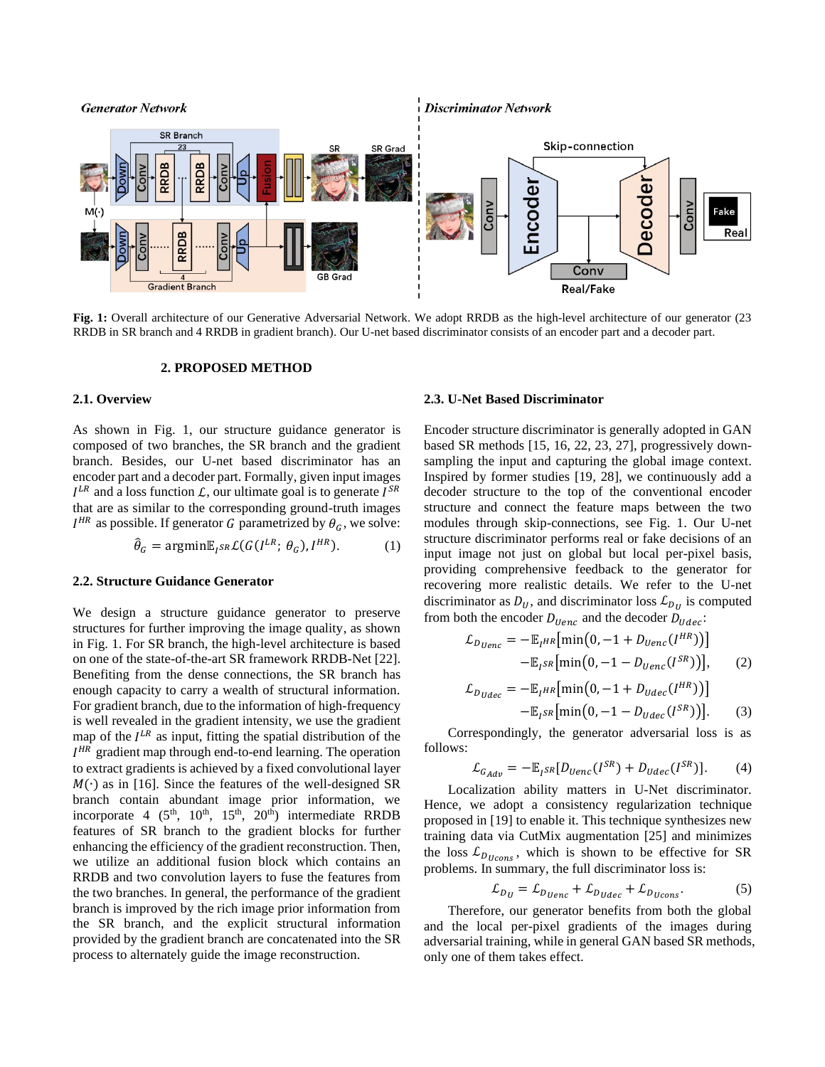<span id="page-1-0"></span>

**Fig. 1:** Overall architecture of our Generative Adversarial Network. We adopt RRDB as the high-level architecture of our generator (23 RRDB in SR branch and 4 RRDB in gradient branch). Our U-net based discriminator consists of an encoder part and a decoder part.

#### **2. PROPOSED METHOD**

## **2.1. Overview**

As shown in [Fig. 1,](#page-1-0) our structure guidance generator is composed of two branches, the SR branch and the gradient branch. Besides, our U-net based discriminator has an encoder part and a decoder part. Formally, given input images  $I^{LR}$  and a loss function  $\mathcal{L}$ , our ultimate goal is to generate  $I^{SR}$ that are as similar to the corresponding ground-truth images  $I^{HR}$  as possible. If generator G parametrized by  $\theta_G$ , we solve:

$$
\hat{\theta}_G = \operatorname{argmin} \mathbb{E}_{I^{SR}} \mathcal{L}(G(I^{LR}; \theta_G), I^{HR}). \tag{1}
$$

#### **2.2. Structure Guidance Generator**

We design a structure guidance generator to preserve structures for further improving the image quality, as shown in [Fig. 1.](#page-1-0) For SR branch, the high-level architecture is based on one of the state-of-the-art SR framework RRDB-Net [\[22\].](#page-4-4) Benefiting from the dense connections, the SR branch has enough capacity to carry a wealth of structural information. For gradient branch, due to the information of high-frequency is well revealed in the gradient intensity, we use the gradient map of the  $I^{LR}$  as input, fitting the spatial distribution of the  $I^{HR}$  gradient map through end-to-end learning. The operation to extract gradients is achieved by a fixed convolutional layer  $M(\cdot)$  as in [\[16\].](#page-4-7) Since the features of the well-designed SR branch contain abundant image prior information, we incorporate 4  $(5<sup>th</sup>, 10<sup>th</sup>, 15<sup>th</sup>, 20<sup>th</sup>)$  intermediate RRDB features of SR branch to the gradient blocks for further enhancing the efficiency of the gradient reconstruction. Then, we utilize an additional fusion block which contains an RRDB and two convolution layers to fuse the features from the two branches. In general, the performance of the gradient branch is improved by the rich image prior information from the SR branch, and the explicit structural information provided by the gradient branch are concatenated into the SR process to alternately guide the image reconstruction.

#### **2.3. U-Net Based Discriminator**

Encoder structure discriminator is generally adopted in GAN based SR methods [\[15,](#page-4-3) [16,](#page-4-7) [22,](#page-4-4) [23,](#page-4-10) [27\],](#page-4-5) progressively downsampling the input and capturing the global image context. Inspired by former studies [\[19,](#page-4-8) [28\],](#page-4-9) we continuously add a decoder structure to the top of the conventional encoder structure and connect the feature maps between the two modules through skip-connections, see [Fig. 1.](#page-1-0) Our U-net structure discriminator performs real or fake decisions of an input image not just on global but local per-pixel basis, providing comprehensive feedback to the generator for recovering more realistic details. We refer to the U-net discriminator as  $D_U$ , and discriminator loss  $\mathcal{L}_{D_U}$  is computed from both the encoder  $D_{Uenc}$  and the decoder  $D_{Udec}$ :

$$
\mathcal{L}_{D_{Uenc}} = -\mathbb{E}_{I^{HR}}[\min(0, -1 + D_{Uenc}(I^{HR}))]
$$

$$
-\mathbb{E}_{I^{SR}}[\min(0, -1 - D_{Uenc}(I^{SR}))], \qquad (2)
$$

$$
\mathcal{L}_{D_{Udec}} = -\mathbb{E}_{I^{HR}}[\min(0, -1 + D_{Udec}(I^{HR}))]
$$

$$
-\mathbb{E}_{I^{SR}}[\min(0, -1 - D_{Udec}(I^{SR}))].
$$
 (3)

Correspondingly, the generator adversarial loss is as follows:

$$
\mathcal{L}_{G_{Adv}} = -\mathbb{E}_{I^{SR}}[D_{Uenc}(I^{SR}) + D_{Udec}(I^{SR})]. \tag{4}
$$

Localization ability matters in U-Net discriminator. Hence, we adopt a consistency regularization technique proposed in [\[19\]](#page-4-8) to enable it. This technique synthesizes new training data via CutMix augmentation [\[25\]](#page-4-11) and minimizes the loss  $\mathcal{L}_{D_{Ucons}}$ , which is shown to be effective for SR problems. In summary, the full discriminator loss is:

$$
\mathcal{L}_{D_U} = \mathcal{L}_{D_{Uenc}} + \mathcal{L}_{D_{Udec}} + \mathcal{L}_{D_{Ucons}}.
$$
 (5)

Therefore, our generator benefits from both the global and the local per-pixel gradients of the images during adversarial training, while in general GAN based SR methods, only one of them takes effect.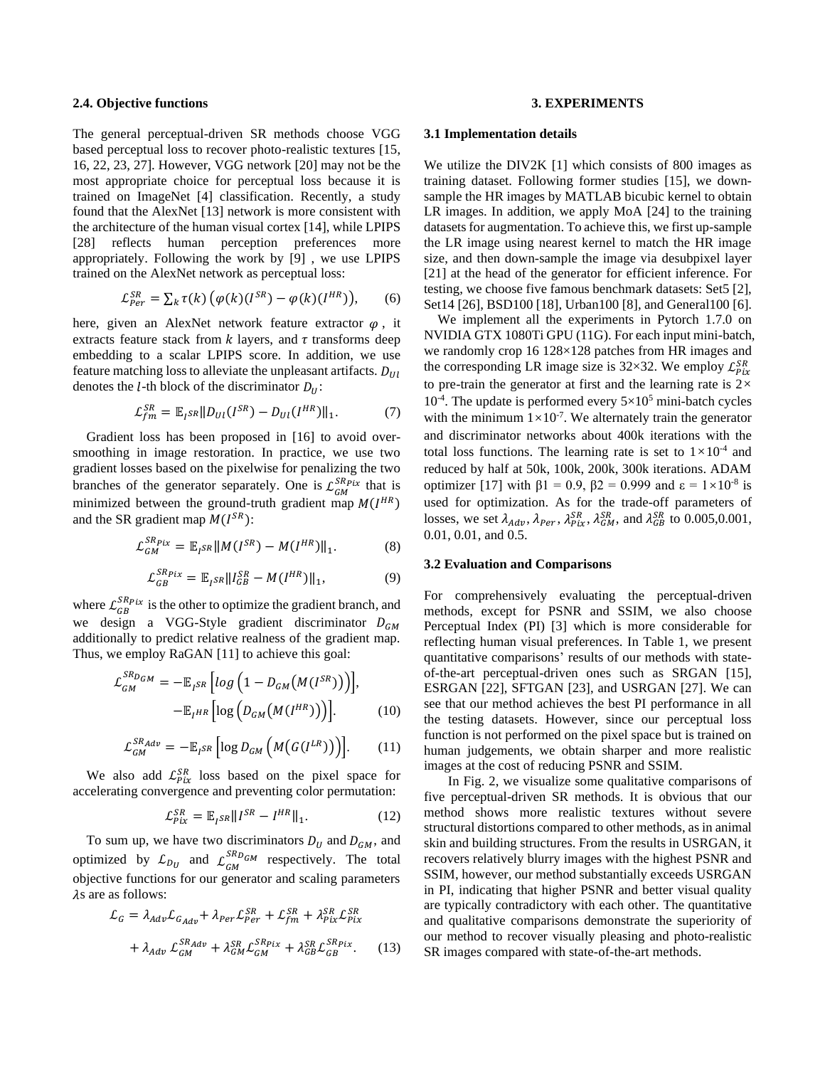#### **2.4. Objective functions**

The general perceptual-driven SR methods choose VGG based perceptual loss to recover photo-realistic textures [\[15,](#page-4-3) [16,](#page-4-7) [22,](#page-4-4) [23,](#page-4-10) [27\].](#page-4-5) However, VGG network [\[20\]](#page-4-12) may not be the most appropriate choice for perceptual loss because it is trained on ImageNet [\[4\]](#page-4-13) classification. Recently, a study found that the AlexNet [\[13\]](#page-4-14) network is more consistent with the architecture of the human visual cortex [\[14\],](#page-4-15) while LPIPS [\[28\]](#page-4-9) reflects human perception preferences more appropriately. Following the work by [\[9\]](#page-4-16) , we use LPIPS trained on the AlexNet network as perceptual loss:

$$
\mathcal{L}_{Per}^{SR} = \sum_{k} \tau(k) \left( \varphi(k) (I^{SR}) - \varphi(k) (I^{HR}) \right), \qquad (6)
$$

here, given an AlexNet network feature extractor  $\varphi$ , it extracts feature stack from  $k$  layers, and  $\tau$  transforms deep embedding to a scalar LPIPS score. In addition, we use feature matching loss to alleviate the unpleasant artifacts.  $D_{Ul}$ denotes the *l*-th block of the discriminator  $D_{ij}$ :

$$
\mathcal{L}_{fm}^{SR} = \mathbb{E}_{I^{SR}} ||D_{UI}(I^{SR}) - D_{UI}(I^{HR})||_1.
$$
 (7)

Gradient loss has been proposed in [\[16\]](#page-4-7) to avoid oversmoothing in image restoration. In practice, we use two gradient losses based on the pixelwise for penalizing the two branches of the generator separately. One is  $\mathcal{L}_{GM}^{SRpix}$  that is minimized between the ground-truth gradient map  $M(I^{HR})$ and the SR gradient map  $M(I^{SR})$ :

$$
\mathcal{L}_{GM}^{SRpix} = \mathbb{E}_{I^{SR}} ||M(I^{SR}) - M(I^{HR})||_1.
$$
 (8)

$$
\mathcal{L}_{GB}^{SRpix} = \mathbb{E}_{I^{SR}} ||I_{GB}^{SR} - M(I^{HR})||_1, \tag{9}
$$

where  $\mathcal{L}_{GB}^{SRpix}$  is the other to optimize the gradient branch, and we design a VGG-Style gradient discriminator  $D_{GM}$ additionally to predict relative realness of the gradient map. Thus, we employ RaGAN [\[11\]](#page-4-17) to achieve this goal:

$$
\mathcal{L}_{GM}^{SR_{DGM}} = -\mathbb{E}_{I^{SR}} \left[ log \left( 1 - D_{GM} \big( M(I^{SR}) \big) \right) \right],
$$
  
-
$$
\mathbb{E}_{I^{HR}} \left[ log \left( D_{GM} \big( M(I^{HR}) \big) \right) \right].
$$
 (10)

$$
\mathcal{L}_{GM}^{SR_{Adv}} = -\mathbb{E}_{I^{SR}} \left[ \log D_{GM} \left( M \big( G(I^{LR}) \big) \right) \right]. \tag{11}
$$

We also add  $\mathcal{L}_{Pix}^{SR}$  loss based on the pixel space for accelerating convergence and preventing color permutation:

$$
\mathcal{L}_{Pix}^{SR} = \mathbb{E}_{I^{SR}} || I^{SR} - I^{HR} ||_1.
$$
 (12)

To sum up, we have two discriminators  $D_U$  and  $D_{GM}$ , and optimized by  $\mathcal{L}_{D_U}$  and  $\mathcal{L}_{GM}^{SRDGM}$  respectively. The total objective functions for our generator and scaling parameters  $\lambda$ s are as follows:

$$
\mathcal{L}_G = \lambda_{Adv} \mathcal{L}_{G_{Adv}} + \lambda_{Per} \mathcal{L}_{Per}^{SR} + \mathcal{L}_{fm}^{SR} + \lambda_{Pix}^{SR} \mathcal{L}_{Pix}^{SR}
$$

$$
+ \lambda_{Adv} \mathcal{L}_{GM}^{SR_{Adv}} + \lambda_{GM}^{SR} \mathcal{L}_{GM}^{SR_{pix}} + \lambda_{GB}^{SR} \mathcal{L}_{GB}^{SR_{pix}}.
$$
(13)

#### **3. EXPERIMENTS**

#### **3.1 Implementation details**

We utilize the DIV2K [\[1\]](#page-4-18) which consists of 800 images as training dataset. Following former studies [\[15\],](#page-4-3) we downsample the HR images by MATLAB bicubic kernel to obtain LR images. In addition, we apply MoA [\[24\]](#page-4-19) to the training datasets for augmentation. To achieve this, we first up-sample the LR image using nearest kernel to match the HR image size, and then down-sample the image via desubpixel layer [\[21\]](#page-4-20) at the head of the generator for efficient inference. For testing, we choose five famous benchmark datasets: Set5 [\[2\],](#page-4-21) Set14 [\[26\],](#page-4-22) BSD100 [\[18\],](#page-4-23) Urban100 [\[8\],](#page-4-24) and General100 [\[6\].](#page-4-25)

We implement all the experiments in Pytorch 1.7.0 on NVIDIA GTX 1080Ti GPU (11G). For each input mini-batch, we randomly crop 16 128×128 patches from HR images and the corresponding LR image size is 32×32. We employ  $\mathcal{L}_{Pix}^{SR}$ to pre-train the generator at first and the learning rate is 2×  $10^{-4}$ . The update is performed every  $5 \times 10^5$  mini-batch cycles with the minimum  $1 \times 10^{-7}$ . We alternately train the generator and discriminator networks about 400k iterations with the total loss functions. The learning rate is set to  $1 \times 10^{-4}$  and reduced by half at 50k, 100k, 200k, 300k iterations. ADAM optimizer [\[17\]](#page-4-26) with  $\beta$ 1 = 0.9,  $\beta$ 2 = 0.999 and ε = 1×10<sup>-8</sup> is used for optimization. As for the trade-off parameters of losses, we set  $\lambda_{Adv}$ ,  $\lambda_{Per}$ ,  $\lambda_{Pix}^{SR}$ ,  $\lambda_{GM}^{SR}$ , and  $\lambda_{GB}^{SR}$  to 0.005,0.001, 0.01, 0.01, and 0.5.

#### **3.2 Evaluation and Comparisons**

For comprehensively evaluating the perceptual-driven methods, except for PSNR and SSIM, we also choose Perceptual Index (PI) [\[3\]](#page-4-27) which is more considerable for reflecting human visual preferences. In [Table 1,](#page-3-0) we present quantitative comparisons' results of our methods with stateof-the-art perceptual-driven ones such as SRGAN [\[15\],](#page-4-3) ESRGAN [\[22\],](#page-4-4) SFTGAN [\[23\],](#page-4-10) and USRGAN [\[27\].](#page-4-5) We can see that our method achieves the best PI performance in all the testing datasets. However, since our perceptual loss function is not performed on the pixel space but is trained on human judgements, we obtain sharper and more realistic images at the cost of reducing PSNR and SSIM.

In [Fig. 2,](#page-3-1) we visualize some qualitative comparisons of five perceptual-driven SR methods. It is obvious that our method shows more realistic textures without severe structural distortions compared to other methods, as in animal skin and building structures. From the results in USRGAN, it recovers relatively blurry images with the highest PSNR and SSIM, however, our method substantially exceeds USRGAN in PI, indicating that higher PSNR and better visual quality are typically contradictory with each other. The quantitative and qualitative comparisons demonstrate the superiority of our method to recover visually pleasing and photo-realistic SR images compared with state-of-the-art methods.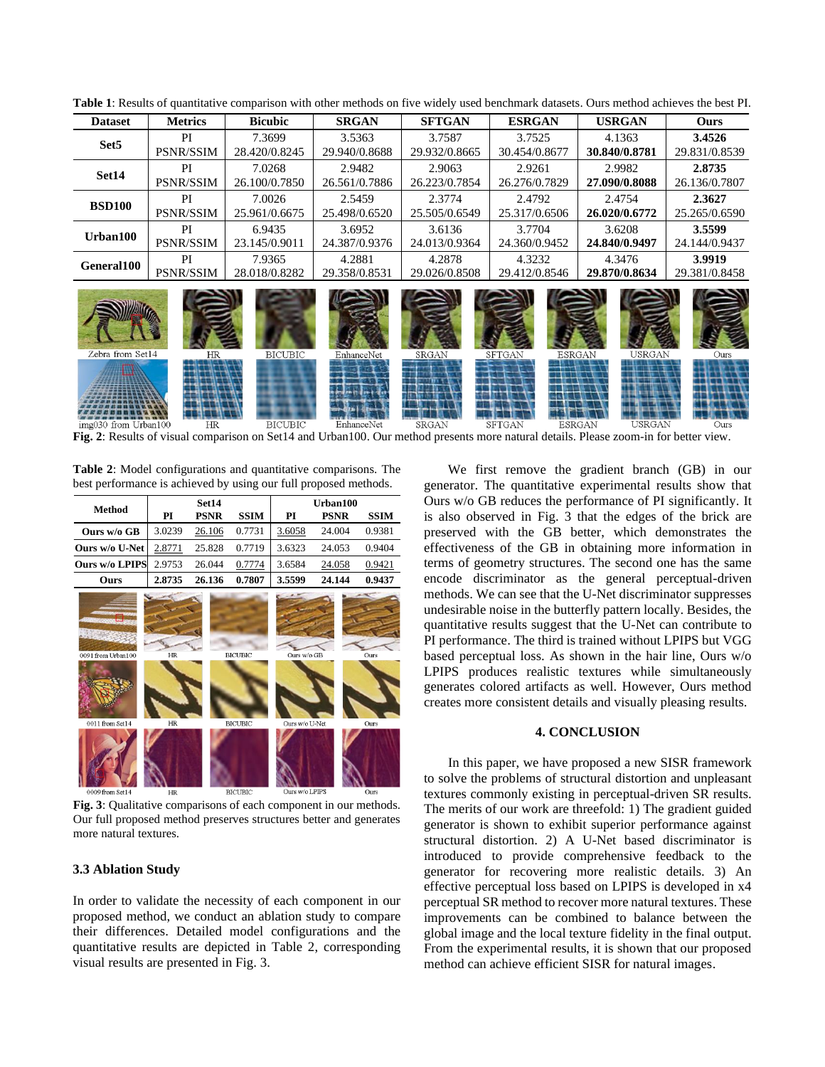| <b>Dataset</b>       | <b>Metrics</b>   | <b>Bicubic</b> | <b>SRGAN</b>  | <b>SFTGAN</b> | <b>ESRGAN</b>                  | <b>USRGAN</b> | <b>Ours</b>   |
|----------------------|------------------|----------------|---------------|---------------|--------------------------------|---------------|---------------|
| Set <sub>5</sub>     | PI               | 7.3699         | 3.5363        | 3.7587        | 3.7525                         | 4.1363        | 3.4526        |
|                      | <b>PSNR/SSIM</b> | 28.420/0.8245  | 29.940/0.8688 | 29.932/0.8665 | 30.454/0.8677                  | 30.840/0.8781 | 29.831/0.8539 |
| Set14                | PI               | 7.0268         | 2.9482        | 2.9063        | 2.9261                         | 2.9982        | 2.8735        |
|                      | <b>PSNR/SSIM</b> | 26.100/0.7850  | 26.561/0.7886 | 26.223/0.7854 | 26.276/0.7829                  | 27.090/0.8088 | 26.136/0.7807 |
| <b>BSD100</b>        | PI               | 7.0026         | 2.5459        | 2.3774        | 2.4792                         | 2.4754        | 2.3627        |
|                      | <b>PSNR/SSIM</b> | 25.961/0.6675  | 25.498/0.6520 | 25.505/0.6549 | 25.317/0.6506                  | 26.020/0.6772 | 25.265/0.6590 |
| Urban100             | PI               | 6.9435         | 3.6952        | 3.6136        | 3.7704                         | 3.6208        | 3.5599        |
|                      | <b>PSNR/SSIM</b> | 23.145/0.9011  | 24.387/0.9376 | 24.013/0.9364 | 24.360/0.9452                  | 24.840/0.9497 | 24.144/0.9437 |
| General100           | PI               | 7.9365         | 4.2881        | 4.2878        | 4.3232                         | 4.3476        | 3.9919        |
|                      | <b>PSNR/SSIM</b> | 28.018/0.8282  | 29.358/0.8531 | 29.026/0.8508 | 29.412/0.8546                  | 29.870/0.8634 | 29.381/0.8458 |
| Zebra from Set14     | HR               | <b>BICUBIC</b> | EnhanceNet    | SRGAN         | SFTGAN<br><b>ESRGAN</b>        | <b>USRGAN</b> | Ours          |
| img030 from Urban100 | HR               | <b>BICUBIC</b> | EnhanceNet    | <b>SRGAN</b>  | <b>SFTGAN</b><br><b>ESRGAN</b> | USRGAN        | Ours          |

**Table 1**: Results of quantitative comparison with other methods on five widely used benchmark datasets. Ours method achieves the best PI.

<span id="page-3-1"></span>**Fig. 2**: Results of visual comparison on Set14 and Urban100. Our method presents more natural details. Please zoom-in for better view.

**Table 2**: Model configurations and quantitative comparisons. The best performance is achieved by using our full proposed methods.

<span id="page-3-3"></span><span id="page-3-2"></span>

|                                       | Set14    |             |                                  | Urban100                      |             |              |  |
|---------------------------------------|----------|-------------|----------------------------------|-------------------------------|-------------|--------------|--|
| <b>Method</b>                         | PI       | <b>PSNR</b> | <b>SSIM</b>                      | PI                            | <b>PSNR</b> | <b>SSIM</b>  |  |
| Ours w/o GB                           | 3.0239   | 26.106      | 0.7731                           | 3.6058                        | 24.004      | 0.9381       |  |
| Ours w/o U-Net                        | 2.8771   | 25.828      | 0.7719                           | 3.6323                        | 24.053      | 0.9404       |  |
| Ours w/o LPIPS                        | 2.9753   | 26.044      | 0.7774                           | 3.6584                        | 24.058      | 0.9421       |  |
| Ours                                  | 2.8735   | 26.136      | 0.7807                           | 3.5599                        | 24.144      | 0.9437       |  |
| 0091 from Urban100<br>0011 from Set14 | HR<br>HR |             | <b>BICUBIC</b><br><b>BICUBIC</b> | Ours w/o GB<br>Ours w/o U-Net |             | Ours<br>Ours |  |
| 0009 from Set14                       | HR       |             | <b>BICLBIC</b>                   | Ours w/o LPIPS                |             | Ours         |  |

**Fig. 3**: Qualitative comparisons of each component in our methods. Our full proposed method preserves structures better and generates more natural textures.

#### **3.3 Ablation Study**

In order to validate the necessity of each component in our proposed method, we conduct an ablation study to compare their differences. Detailed model configurations and the quantitative results are depicted in [Table 2,](#page-3-2) corresponding visual results are presented in [Fig. 3.](#page-3-3)

<span id="page-3-0"></span>We first remove the gradient branch (GB) in our generator. The quantitative experimental results show that Ours w/o GB reduces the performance of PI significantly. It is also observed in [Fig. 3](#page-3-3) that the edges of the brick are preserved with the GB better, which demonstrates the effectiveness of the GB in obtaining more information in terms of geometry structures. The second one has the same encode discriminator as the general perceptual-driven methods. We can see that the U-Net discriminator suppresses undesirable noise in the butterfly pattern locally. Besides, the quantitative results suggest that the U-Net can contribute to PI performance. The third is trained without LPIPS but VGG based perceptual loss. As shown in the hair line, Ours w/o LPIPS produces realistic textures while simultaneously generates colored artifacts as well. However, Ours method creates more consistent details and visually pleasing results.

#### **4. CONCLUSION**

In this paper, we have proposed a new SISR framework to solve the problems of structural distortion and unpleasant textures commonly existing in perceptual-driven SR results. The merits of our work are threefold: 1) The gradient guided generator is shown to exhibit superior performance against structural distortion. 2) A U-Net based discriminator is introduced to provide comprehensive feedback to the generator for recovering more realistic details. 3) An effective perceptual loss based on LPIPS is developed in x4 perceptual SR method to recover more natural textures. These improvements can be combined to balance between the global image and the local texture fidelity in the final output. From the experimental results, it is shown that our proposed method can achieve efficient SISR for natural images.